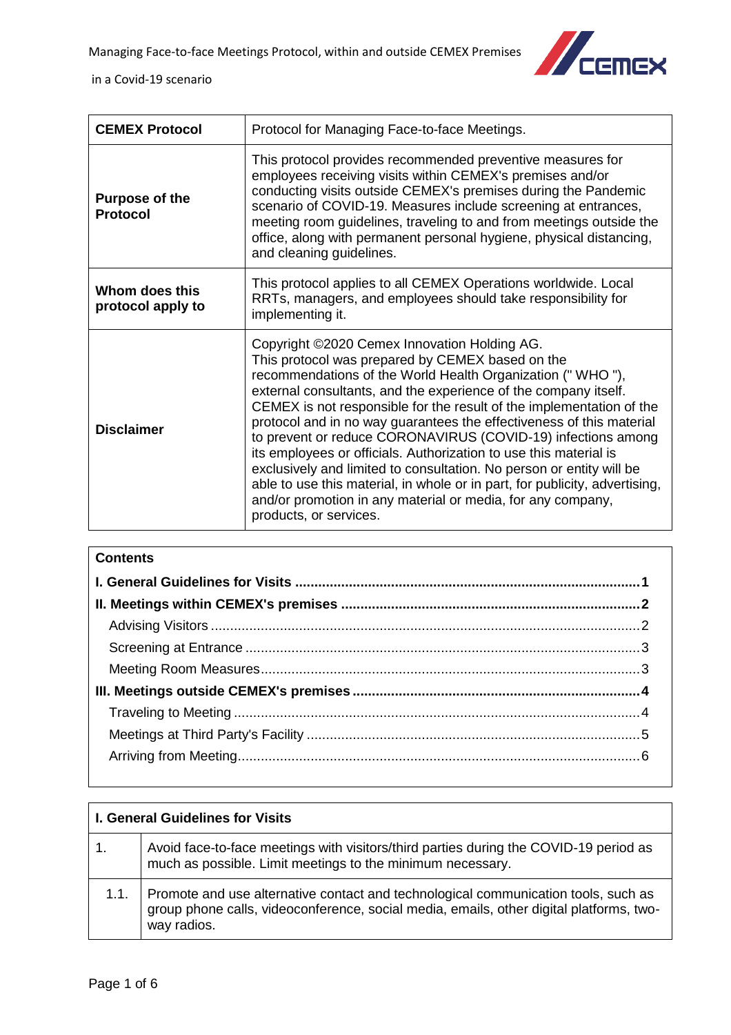

| <b>CEMEX Protocol</b>                    | Protocol for Managing Face-to-face Meetings.                                                                                                                                                                                                                                                                                                                                                                                                                                                                                                                                                                                                                                                                                                                          |
|------------------------------------------|-----------------------------------------------------------------------------------------------------------------------------------------------------------------------------------------------------------------------------------------------------------------------------------------------------------------------------------------------------------------------------------------------------------------------------------------------------------------------------------------------------------------------------------------------------------------------------------------------------------------------------------------------------------------------------------------------------------------------------------------------------------------------|
| <b>Purpose of the</b><br><b>Protocol</b> | This protocol provides recommended preventive measures for<br>employees receiving visits within CEMEX's premises and/or<br>conducting visits outside CEMEX's premises during the Pandemic<br>scenario of COVID-19. Measures include screening at entrances,<br>meeting room guidelines, traveling to and from meetings outside the<br>office, along with permanent personal hygiene, physical distancing,<br>and cleaning guidelines.                                                                                                                                                                                                                                                                                                                                 |
| Whom does this<br>protocol apply to      | This protocol applies to all CEMEX Operations worldwide. Local<br>RRTs, managers, and employees should take responsibility for<br>implementing it.                                                                                                                                                                                                                                                                                                                                                                                                                                                                                                                                                                                                                    |
| <b>Disclaimer</b>                        | Copyright ©2020 Cemex Innovation Holding AG.<br>This protocol was prepared by CEMEX based on the<br>recommendations of the World Health Organization ("WHO"),<br>external consultants, and the experience of the company itself.<br>CEMEX is not responsible for the result of the implementation of the<br>protocol and in no way guarantees the effectiveness of this material<br>to prevent or reduce CORONAVIRUS (COVID-19) infections among<br>its employees or officials. Authorization to use this material is<br>exclusively and limited to consultation. No person or entity will be<br>able to use this material, in whole or in part, for publicity, advertising,<br>and/or promotion in any material or media, for any company,<br>products, or services. |

| <b>Contents</b> |  |
|-----------------|--|
|                 |  |
|                 |  |
|                 |  |
|                 |  |
|                 |  |
|                 |  |
|                 |  |
|                 |  |
|                 |  |

<span id="page-0-0"></span>

| <b>I. General Guidelines for Visits</b> |                                                                                                                                                                                              |
|-----------------------------------------|----------------------------------------------------------------------------------------------------------------------------------------------------------------------------------------------|
| 1.                                      | Avoid face-to-face meetings with visitors/third parties during the COVID-19 period as<br>much as possible. Limit meetings to the minimum necessary.                                          |
| 1.1.                                    | Promote and use alternative contact and technological communication tools, such as<br>group phone calls, videoconference, social media, emails, other digital platforms, two-<br>way radios. |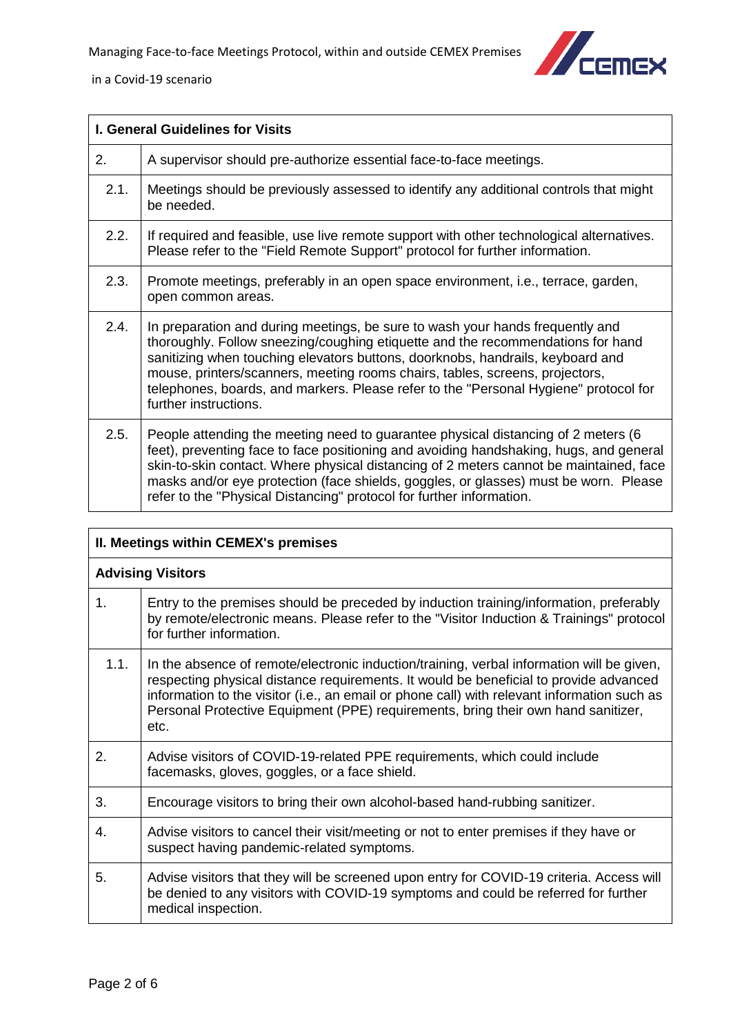

| I. General Guidelines for Visits |                                                                                                                                                                                                                                                                                                                                                                                                                                                     |
|----------------------------------|-----------------------------------------------------------------------------------------------------------------------------------------------------------------------------------------------------------------------------------------------------------------------------------------------------------------------------------------------------------------------------------------------------------------------------------------------------|
| 2.                               | A supervisor should pre-authorize essential face-to-face meetings.                                                                                                                                                                                                                                                                                                                                                                                  |
| 2.1.                             | Meetings should be previously assessed to identify any additional controls that might<br>be needed.                                                                                                                                                                                                                                                                                                                                                 |
| 2.2.                             | If required and feasible, use live remote support with other technological alternatives.<br>Please refer to the "Field Remote Support" protocol for further information.                                                                                                                                                                                                                                                                            |
| 2.3.                             | Promote meetings, preferably in an open space environment, i.e., terrace, garden,<br>open common areas.                                                                                                                                                                                                                                                                                                                                             |
| 2.4.                             | In preparation and during meetings, be sure to wash your hands frequently and<br>thoroughly. Follow sneezing/coughing etiquette and the recommendations for hand<br>sanitizing when touching elevators buttons, doorknobs, handrails, keyboard and<br>mouse, printers/scanners, meeting rooms chairs, tables, screens, projectors,<br>telephones, boards, and markers. Please refer to the "Personal Hygiene" protocol for<br>further instructions. |
| 2.5.                             | People attending the meeting need to guarantee physical distancing of 2 meters (6<br>feet), preventing face to face positioning and avoiding handshaking, hugs, and general<br>skin-to-skin contact. Where physical distancing of 2 meters cannot be maintained, face<br>masks and/or eye protection (face shields, goggles, or glasses) must be worn. Please<br>refer to the "Physical Distancing" protocol for further information.               |

<span id="page-1-1"></span><span id="page-1-0"></span>

| II. Meetings within CEMEX's premises |                                                                                                                                                                                                                                                                                                                                                                                |
|--------------------------------------|--------------------------------------------------------------------------------------------------------------------------------------------------------------------------------------------------------------------------------------------------------------------------------------------------------------------------------------------------------------------------------|
| <b>Advising Visitors</b>             |                                                                                                                                                                                                                                                                                                                                                                                |
| 1.                                   | Entry to the premises should be preceded by induction training/information, preferably<br>by remote/electronic means. Please refer to the "Visitor Induction & Trainings" protocol<br>for further information.                                                                                                                                                                 |
| 1.1.                                 | In the absence of remote/electronic induction/training, verbal information will be given,<br>respecting physical distance requirements. It would be beneficial to provide advanced<br>information to the visitor (i.e., an email or phone call) with relevant information such as<br>Personal Protective Equipment (PPE) requirements, bring their own hand sanitizer,<br>etc. |
| 2.                                   | Advise visitors of COVID-19-related PPE requirements, which could include<br>facemasks, gloves, goggles, or a face shield.                                                                                                                                                                                                                                                     |
| 3.                                   | Encourage visitors to bring their own alcohol-based hand-rubbing sanitizer.                                                                                                                                                                                                                                                                                                    |
| 4.                                   | Advise visitors to cancel their visit/meeting or not to enter premises if they have or<br>suspect having pandemic-related symptoms.                                                                                                                                                                                                                                            |
| 5.                                   | Advise visitors that they will be screened upon entry for COVID-19 criteria. Access will<br>be denied to any visitors with COVID-19 symptoms and could be referred for further<br>medical inspection.                                                                                                                                                                          |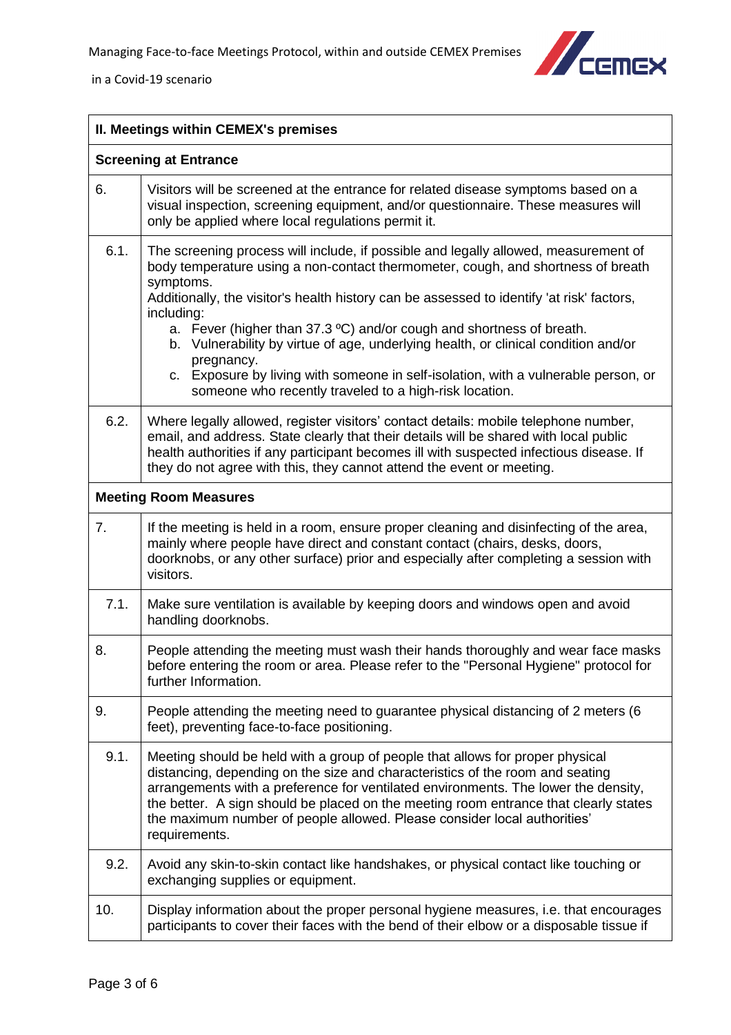

<span id="page-2-1"></span><span id="page-2-0"></span>

| II. Meetings within CEMEX's premises |                                                                                                                                                                                                                                                                                                                                                                                                                                                                                                                                                                                                                             |
|--------------------------------------|-----------------------------------------------------------------------------------------------------------------------------------------------------------------------------------------------------------------------------------------------------------------------------------------------------------------------------------------------------------------------------------------------------------------------------------------------------------------------------------------------------------------------------------------------------------------------------------------------------------------------------|
|                                      | <b>Screening at Entrance</b>                                                                                                                                                                                                                                                                                                                                                                                                                                                                                                                                                                                                |
| 6.                                   | Visitors will be screened at the entrance for related disease symptoms based on a<br>visual inspection, screening equipment, and/or questionnaire. These measures will<br>only be applied where local regulations permit it.                                                                                                                                                                                                                                                                                                                                                                                                |
| 6.1.                                 | The screening process will include, if possible and legally allowed, measurement of<br>body temperature using a non-contact thermometer, cough, and shortness of breath<br>symptoms.<br>Additionally, the visitor's health history can be assessed to identify 'at risk' factors,<br>including:<br>a. Fever (higher than 37.3 °C) and/or cough and shortness of breath.<br>b. Vulnerability by virtue of age, underlying health, or clinical condition and/or<br>pregnancy.<br>c. Exposure by living with someone in self-isolation, with a vulnerable person, or<br>someone who recently traveled to a high-risk location. |
| 6.2.                                 | Where legally allowed, register visitors' contact details: mobile telephone number,<br>email, and address. State clearly that their details will be shared with local public<br>health authorities if any participant becomes ill with suspected infectious disease. If<br>they do not agree with this, they cannot attend the event or meeting.                                                                                                                                                                                                                                                                            |
|                                      | <b>Meeting Room Measures</b>                                                                                                                                                                                                                                                                                                                                                                                                                                                                                                                                                                                                |
| 7.                                   | If the meeting is held in a room, ensure proper cleaning and disinfecting of the area,<br>mainly where people have direct and constant contact (chairs, desks, doors,<br>doorknobs, or any other surface) prior and especially after completing a session with<br>visitors.                                                                                                                                                                                                                                                                                                                                                 |
| 7.1.                                 | Make sure ventilation is available by keeping doors and windows open and avoid<br>handling doorknobs.                                                                                                                                                                                                                                                                                                                                                                                                                                                                                                                       |
| 8.                                   | People attending the meeting must wash their hands thoroughly and wear face masks<br>before entering the room or area. Please refer to the "Personal Hygiene" protocol for<br>further Information.                                                                                                                                                                                                                                                                                                                                                                                                                          |
| 9.                                   | People attending the meeting need to guarantee physical distancing of 2 meters (6<br>feet), preventing face-to-face positioning.                                                                                                                                                                                                                                                                                                                                                                                                                                                                                            |
| 9.1.                                 | Meeting should be held with a group of people that allows for proper physical<br>distancing, depending on the size and characteristics of the room and seating<br>arrangements with a preference for ventilated environments. The lower the density,<br>the better. A sign should be placed on the meeting room entrance that clearly states<br>the maximum number of people allowed. Please consider local authorities'<br>requirements.                                                                                                                                                                                   |
| 9.2.                                 | Avoid any skin-to-skin contact like handshakes, or physical contact like touching or<br>exchanging supplies or equipment.                                                                                                                                                                                                                                                                                                                                                                                                                                                                                                   |
| 10.                                  | Display information about the proper personal hygiene measures, i.e. that encourages<br>participants to cover their faces with the bend of their elbow or a disposable tissue if                                                                                                                                                                                                                                                                                                                                                                                                                                            |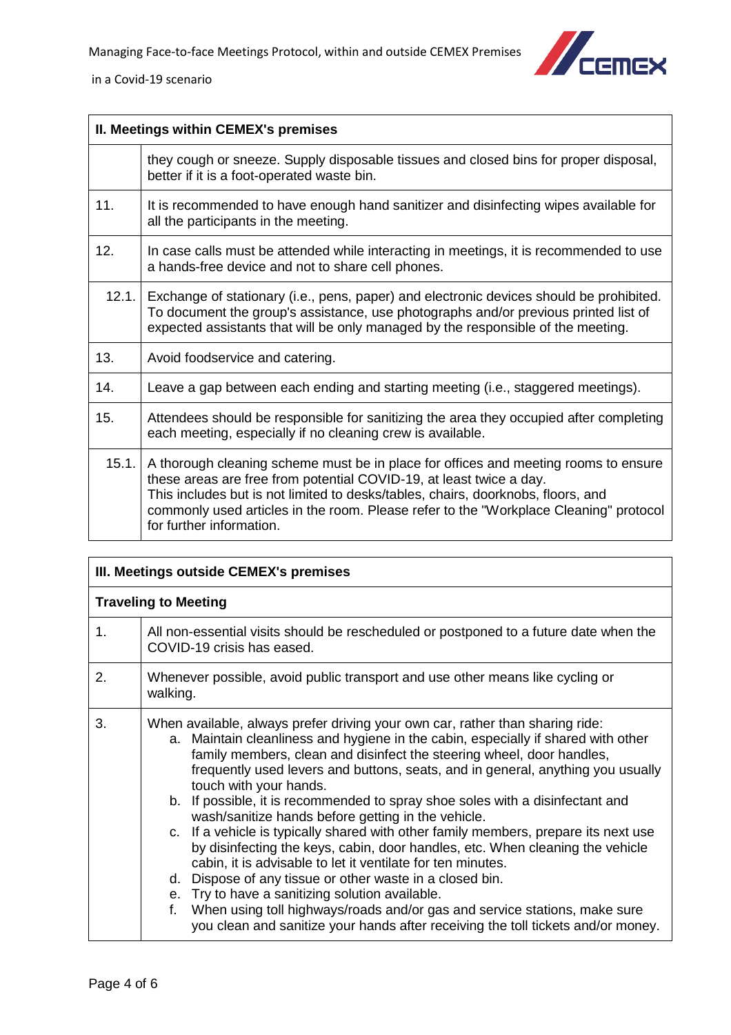

| II. Meetings within CEMEX's premises |                                                                                                                                                                                                                                                                                                                                                                     |
|--------------------------------------|---------------------------------------------------------------------------------------------------------------------------------------------------------------------------------------------------------------------------------------------------------------------------------------------------------------------------------------------------------------------|
|                                      | they cough or sneeze. Supply disposable tissues and closed bins for proper disposal,<br>better if it is a foot-operated waste bin.                                                                                                                                                                                                                                  |
| 11.                                  | It is recommended to have enough hand sanitizer and disinfecting wipes available for<br>all the participants in the meeting.                                                                                                                                                                                                                                        |
| 12.                                  | In case calls must be attended while interacting in meetings, it is recommended to use<br>a hands-free device and not to share cell phones.                                                                                                                                                                                                                         |
| 12.1.                                | Exchange of stationary (i.e., pens, paper) and electronic devices should be prohibited.<br>To document the group's assistance, use photographs and/or previous printed list of<br>expected assistants that will be only managed by the responsible of the meeting.                                                                                                  |
| 13.                                  | Avoid foodservice and catering.                                                                                                                                                                                                                                                                                                                                     |
| 14.                                  | Leave a gap between each ending and starting meeting (i.e., staggered meetings).                                                                                                                                                                                                                                                                                    |
| 15.                                  | Attendees should be responsible for sanitizing the area they occupied after completing<br>each meeting, especially if no cleaning crew is available.                                                                                                                                                                                                                |
| 15.1.                                | A thorough cleaning scheme must be in place for offices and meeting rooms to ensure<br>these areas are free from potential COVID-19, at least twice a day.<br>This includes but is not limited to desks/tables, chairs, doorknobs, floors, and<br>commonly used articles in the room. Please refer to the "Workplace Cleaning" protocol<br>for further information. |

<span id="page-3-1"></span><span id="page-3-0"></span>

| III. Meetings outside CEMEX's premises |                                                                                                                                                                                                                                                                                                                                                                                                                                                                                                                                                                                                                                                                                                                                                                                                                                                                                                                                                                                                                              |  |
|----------------------------------------|------------------------------------------------------------------------------------------------------------------------------------------------------------------------------------------------------------------------------------------------------------------------------------------------------------------------------------------------------------------------------------------------------------------------------------------------------------------------------------------------------------------------------------------------------------------------------------------------------------------------------------------------------------------------------------------------------------------------------------------------------------------------------------------------------------------------------------------------------------------------------------------------------------------------------------------------------------------------------------------------------------------------------|--|
|                                        | <b>Traveling to Meeting</b>                                                                                                                                                                                                                                                                                                                                                                                                                                                                                                                                                                                                                                                                                                                                                                                                                                                                                                                                                                                                  |  |
| 1.                                     | All non-essential visits should be rescheduled or postponed to a future date when the<br>COVID-19 crisis has eased.                                                                                                                                                                                                                                                                                                                                                                                                                                                                                                                                                                                                                                                                                                                                                                                                                                                                                                          |  |
| 2.                                     | Whenever possible, avoid public transport and use other means like cycling or<br>walking.                                                                                                                                                                                                                                                                                                                                                                                                                                                                                                                                                                                                                                                                                                                                                                                                                                                                                                                                    |  |
| 3.                                     | When available, always prefer driving your own car, rather than sharing ride:<br>a. Maintain cleanliness and hygiene in the cabin, especially if shared with other<br>family members, clean and disinfect the steering wheel, door handles,<br>frequently used levers and buttons, seats, and in general, anything you usually<br>touch with your hands.<br>b. If possible, it is recommended to spray shoe soles with a disinfectant and<br>wash/sanitize hands before getting in the vehicle.<br>c. If a vehicle is typically shared with other family members, prepare its next use<br>by disinfecting the keys, cabin, door handles, etc. When cleaning the vehicle<br>cabin, it is advisable to let it ventilate for ten minutes.<br>d. Dispose of any tissue or other waste in a closed bin.<br>e. Try to have a sanitizing solution available.<br>When using toll highways/roads and/or gas and service stations, make sure<br>f.<br>you clean and sanitize your hands after receiving the toll tickets and/or money. |  |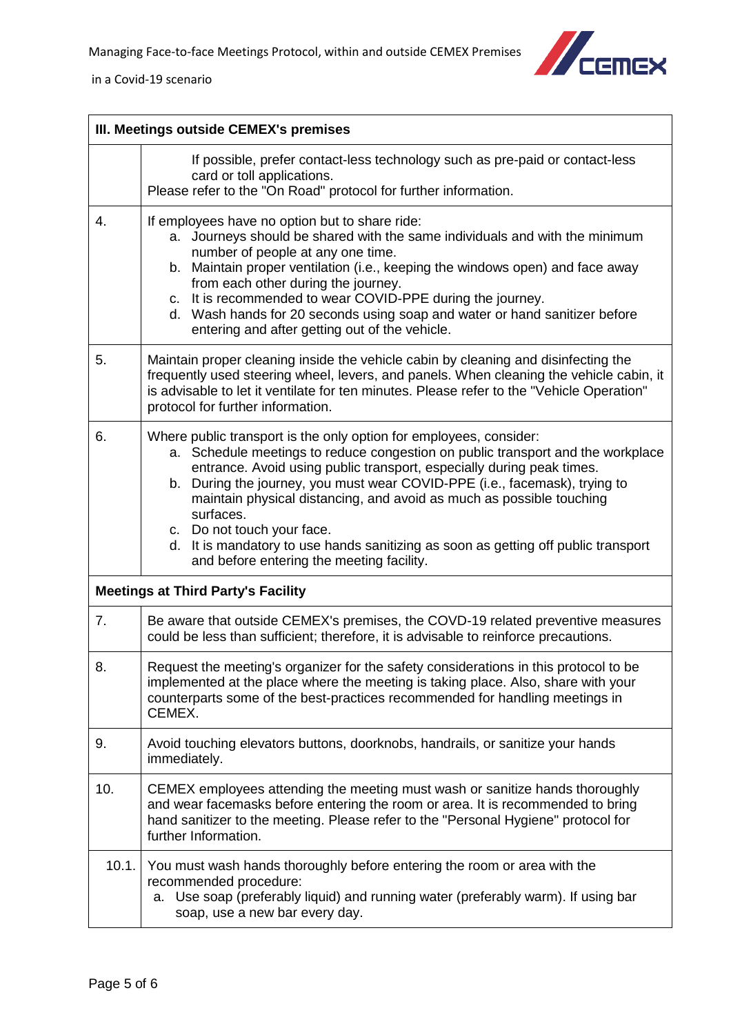

<span id="page-4-0"></span>

|       | III. Meetings outside CEMEX's premises                                                                                                                                                                                                                                                                                                                                                                                                                                                                                                                             |  |
|-------|--------------------------------------------------------------------------------------------------------------------------------------------------------------------------------------------------------------------------------------------------------------------------------------------------------------------------------------------------------------------------------------------------------------------------------------------------------------------------------------------------------------------------------------------------------------------|--|
|       | If possible, prefer contact-less technology such as pre-paid or contact-less<br>card or toll applications.<br>Please refer to the "On Road" protocol for further information.                                                                                                                                                                                                                                                                                                                                                                                      |  |
| 4.    | If employees have no option but to share ride:<br>a. Journeys should be shared with the same individuals and with the minimum<br>number of people at any one time.<br>b. Maintain proper ventilation (i.e., keeping the windows open) and face away<br>from each other during the journey.<br>c. It is recommended to wear COVID-PPE during the journey.<br>d. Wash hands for 20 seconds using soap and water or hand sanitizer before<br>entering and after getting out of the vehicle.                                                                           |  |
| 5.    | Maintain proper cleaning inside the vehicle cabin by cleaning and disinfecting the<br>frequently used steering wheel, levers, and panels. When cleaning the vehicle cabin, it<br>is advisable to let it ventilate for ten minutes. Please refer to the "Vehicle Operation"<br>protocol for further information.                                                                                                                                                                                                                                                    |  |
| 6.    | Where public transport is the only option for employees, consider:<br>a. Schedule meetings to reduce congestion on public transport and the workplace<br>entrance. Avoid using public transport, especially during peak times.<br>b. During the journey, you must wear COVID-PPE (i.e., facemask), trying to<br>maintain physical distancing, and avoid as much as possible touching<br>surfaces.<br>c. Do not touch your face.<br>d. It is mandatory to use hands sanitizing as soon as getting off public transport<br>and before entering the meeting facility. |  |
|       | <b>Meetings at Third Party's Facility</b>                                                                                                                                                                                                                                                                                                                                                                                                                                                                                                                          |  |
| 7.    | Be aware that outside CEMEX's premises, the COVD-19 related preventive measures<br>could be less than sufficient; therefore, it is advisable to reinforce precautions.                                                                                                                                                                                                                                                                                                                                                                                             |  |
| 8.    | Request the meeting's organizer for the safety considerations in this protocol to be<br>implemented at the place where the meeting is taking place. Also, share with your<br>counterparts some of the best-practices recommended for handling meetings in<br>CEMEX.                                                                                                                                                                                                                                                                                                |  |
| 9.    | Avoid touching elevators buttons, doorknobs, handrails, or sanitize your hands<br>immediately.                                                                                                                                                                                                                                                                                                                                                                                                                                                                     |  |
| 10.   | CEMEX employees attending the meeting must wash or sanitize hands thoroughly<br>and wear facemasks before entering the room or area. It is recommended to bring<br>hand sanitizer to the meeting. Please refer to the "Personal Hygiene" protocol for<br>further Information.                                                                                                                                                                                                                                                                                      |  |
| 10.1. | You must wash hands thoroughly before entering the room or area with the<br>recommended procedure:<br>a. Use soap (preferably liquid) and running water (preferably warm). If using bar<br>soap, use a new bar every day.                                                                                                                                                                                                                                                                                                                                          |  |